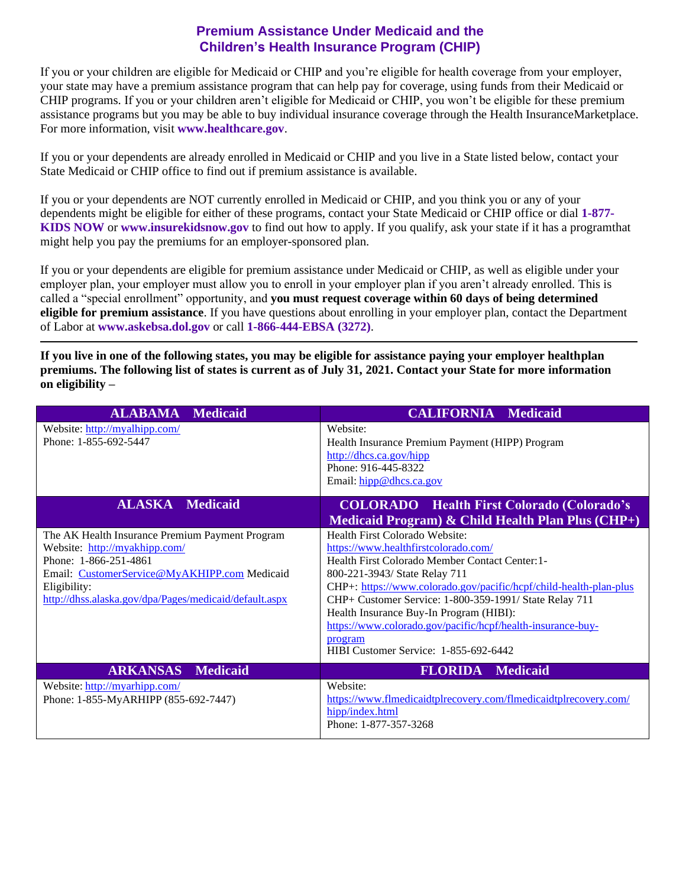## **Premium Assistance Under Medicaid and the Children's Health Insurance Program (CHIP)**

If you or your children are eligible for Medicaid or CHIP and you're eligible for health coverage from your employer, your state may have a premium assistance program that can help pay for coverage, using funds from their Medicaid or CHIP programs. If you or your children aren't eligible for Medicaid or CHIP, you won't be eligible for these premium assistance programs but you may be able to buy individual insurance coverage through the Health InsuranceMarketplace. For more information, visit **[www.healthcare.gov](http://www.healthcare.gov/)**.

If you or your dependents are already enrolled in Medicaid or CHIP and you live in a State listed below, contact your State Medicaid or CHIP office to find out if premium assistance is available.

If you or your dependents are NOT currently enrolled in Medicaid or CHIP, and you think you or any of your dependents might be eligible for either of these programs, contact your State Medicaid or CHIP office or dial **1-877- KIDS NOW** or **[www.insurekidsnow.gov](http://www.insurekidsnow.gov/)** to find out how to apply. If you qualify, ask your state if it has a programthat might help you pay the premiums for an employer-sponsored plan.

If you or your dependents are eligible for premium assistance under Medicaid or CHIP, as well as eligible under your employer plan, your employer must allow you to enroll in your employer plan if you aren't already enrolled. This is called a "special enrollment" opportunity, and **you must request coverage within 60 days of being determined eligible for premium assistance**. If you have questions about enrolling in your employer plan, contact the Department of Labor at **[www.askebsa.dol.gov](http://www.askebsa.dol.gov/)** or call **1-866-444-EBSA (3272)**.

**If you live in one of the following states, you may be eligible for assistance paying your employer healthplan premiums. The following list of states is current as of July 31, 2021. Contact your State for more information on eligibility –**

| <b>ALABAMA Medicaid</b>                                                                                                                                                                                                             | <b>CALIFORNIA Medicaid</b>                                                                                                                                                                                                                                                                                                                                                                                                                               |
|-------------------------------------------------------------------------------------------------------------------------------------------------------------------------------------------------------------------------------------|----------------------------------------------------------------------------------------------------------------------------------------------------------------------------------------------------------------------------------------------------------------------------------------------------------------------------------------------------------------------------------------------------------------------------------------------------------|
| Website: http://myalhipp.com/<br>Phone: 1-855-692-5447                                                                                                                                                                              | Website:<br>Health Insurance Premium Payment (HIPP) Program<br>http://dhcs.ca.gov/hipp<br>Phone: 916-445-8322<br>Email: hipp@dhcs.ca.gov                                                                                                                                                                                                                                                                                                                 |
| <b>ALASKA</b> Medicaid                                                                                                                                                                                                              | <b>COLORADO</b> Health First Colorado (Colorado's<br>Medicaid Program) $\&$ Child Health Plan Plus (CHP+)                                                                                                                                                                                                                                                                                                                                                |
| The AK Health Insurance Premium Payment Program<br>Website: http://myakhipp.com/<br>Phone: 1-866-251-4861<br>Email: CustomerService@MyAKHIPP.com Medicaid<br>Eligibility:<br>http://dhss.alaska.gov/dpa/Pages/medicaid/default.aspx | Health First Colorado Website:<br>https://www.healthfirstcolorado.com/<br>Health First Colorado Member Contact Center: 1-<br>800-221-3943/ State Relay 711<br>CHP+: https://www.colorado.gov/pacific/hcpf/child-health-plan-plus<br>CHP+ Customer Service: 1-800-359-1991/ State Relay 711<br>Health Insurance Buy-In Program (HIBI):<br>https://www.colorado.gov/pacific/hcpf/health-insurance-buy-<br>program<br>HIBI Customer Service: 1-855-692-6442 |
| <b>ARKANSAS</b><br><b>Medicaid</b>                                                                                                                                                                                                  | <b>FLORIDA</b> Medicaid                                                                                                                                                                                                                                                                                                                                                                                                                                  |
| Website: http://myarhipp.com/<br>Phone: 1-855-MyARHIPP (855-692-7447)                                                                                                                                                               | Website:<br>https://www.flmedicaidtplrecovery.com/flmedicaidtplrecovery.com/<br>hipp/index.html<br>Phone: 1-877-357-3268                                                                                                                                                                                                                                                                                                                                 |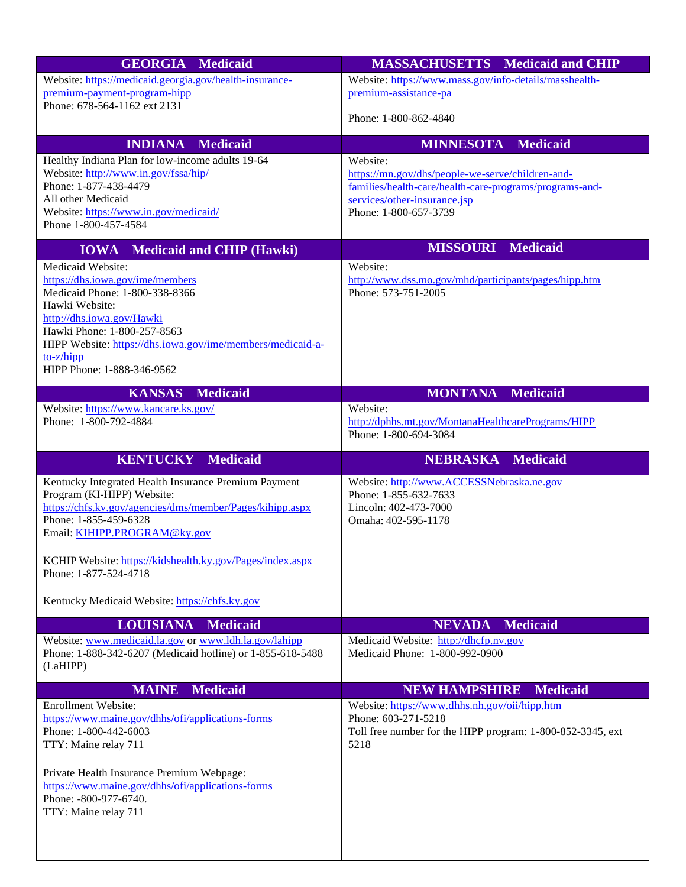| <b>GEORGIA Medicaid</b>                                                                                             | <b>MASSACHUSETTS</b> Medicaid and CHIP                               |
|---------------------------------------------------------------------------------------------------------------------|----------------------------------------------------------------------|
| Website: https://medicaid.georgia.gov/health-insurance-                                                             | Website: https://www.mass.gov/info-details/masshealth-               |
| premium-payment-program-hipp                                                                                        | premium-assistance-pa                                                |
| Phone: 678-564-1162 ext 2131                                                                                        |                                                                      |
|                                                                                                                     | Phone: 1-800-862-4840                                                |
| <b>INDIANA</b><br><b>Medicaid</b>                                                                                   | <b>MINNESOTA Medicaid</b>                                            |
| Healthy Indiana Plan for low-income adults 19-64                                                                    | Website:                                                             |
| Website: http://www.in.gov/fssa/hip/                                                                                | https://mn.gov/dhs/people-we-serve/children-and-                     |
| Phone: 1-877-438-4479                                                                                               | families/health-care/health-care-programs/programs-and-              |
| All other Medicaid                                                                                                  | services/other-insurance.jsp                                         |
| Website: https://www.in.gov/medicaid/<br>Phone 1-800-457-4584                                                       | Phone: 1-800-657-3739                                                |
|                                                                                                                     |                                                                      |
| <b>Medicaid and CHIP (Hawki)</b><br><b>IOWA</b>                                                                     | <b>MISSOURI</b> Medicaid                                             |
| Medicaid Website:                                                                                                   | Website:                                                             |
| https://dhs.iowa.gov/ime/members                                                                                    | http://www.dss.mo.gov/mhd/participants/pages/hipp.htm                |
| Medicaid Phone: 1-800-338-8366                                                                                      | Phone: 573-751-2005                                                  |
| Hawki Website:<br>http://dhs.iowa.gov/Hawki                                                                         |                                                                      |
| Hawki Phone: 1-800-257-8563                                                                                         |                                                                      |
| HIPP Website: https://dhs.iowa.gov/ime/members/medicaid-a-                                                          |                                                                      |
| $to-z/hipp$                                                                                                         |                                                                      |
| HIPP Phone: 1-888-346-9562                                                                                          |                                                                      |
| <b>KANSAS</b><br><b>Medicaid</b>                                                                                    | <b>MONTANA</b><br><b>Medicaid</b>                                    |
| Website: https://www.kancare.ks.gov/                                                                                | Website:                                                             |
| Phone: 1-800-792-4884                                                                                               | http://dphhs.mt.gov/MontanaHealthcarePrograms/HIPP                   |
|                                                                                                                     | Phone: 1-800-694-3084                                                |
| <b>KENTUCKY Medicaid</b>                                                                                            | <b>NEBRASKA Medicaid</b>                                             |
| Kentucky Integrated Health Insurance Premium Payment                                                                | Website: http://www.ACCESSNebraska.ne.gov                            |
| Program (KI-HIPP) Website:                                                                                          | Phone: 1-855-632-7633                                                |
| https://chfs.ky.gov/agencies/dms/member/Pages/kihipp.aspx                                                           | Lincoln: 402-473-7000                                                |
| Phone: 1-855-459-6328                                                                                               | Omaha: 402-595-1178                                                  |
| Email: KIHIPP.PROGRAM@ky.gov                                                                                        |                                                                      |
|                                                                                                                     |                                                                      |
| KCHIP Website: https://kidshealth.ky.gov/Pages/index.aspx<br>Phone: 1-877-524-4718                                  |                                                                      |
|                                                                                                                     |                                                                      |
| Kentucky Medicaid Website: https://chfs.ky.gov                                                                      |                                                                      |
|                                                                                                                     | <b>NEVADA</b>                                                        |
| <b>LOUISIANA</b><br><b>Medicaid</b>                                                                                 | <b>Medicaid</b><br>Medicaid Website: http://dhcfp.nv.gov             |
| Website: www.medicaid.la.gov or www.ldh.la.gov/lahipp<br>Phone: 1-888-342-6207 (Medicaid hotline) or 1-855-618-5488 | Medicaid Phone: 1-800-992-0900                                       |
| (LaHIPP)                                                                                                            |                                                                      |
|                                                                                                                     |                                                                      |
| <b>MAINE</b><br><b>Medicaid</b>                                                                                     | <b>NEW HAMPSHIRE</b><br><b>Medicaid</b>                              |
| <b>Enrollment Website:</b><br>https://www.maine.gov/dhhs/ofi/applications-forms                                     | Website: https://www.dhhs.nh.gov/oii/hipp.htm<br>Phone: 603-271-5218 |
| Phone: 1-800-442-6003                                                                                               | Toll free number for the HIPP program: 1-800-852-3345, ext           |
| TTY: Maine relay 711                                                                                                | 5218                                                                 |
|                                                                                                                     |                                                                      |
| Private Health Insurance Premium Webpage:                                                                           |                                                                      |
| https://www.maine.gov/dhhs/ofi/applications-forms                                                                   |                                                                      |
| Phone: -800-977-6740.                                                                                               |                                                                      |
| TTY: Maine relay 711                                                                                                |                                                                      |
|                                                                                                                     |                                                                      |
|                                                                                                                     |                                                                      |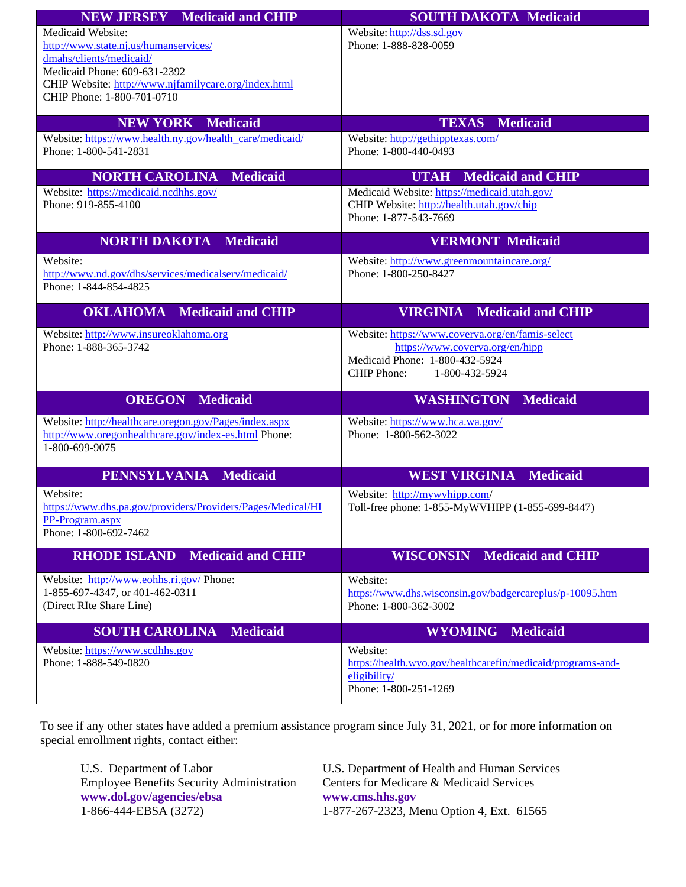| <b>NEW JERSEY</b> Medicaid and CHIP                                                                                              | <b>SOUTH DAKOTA Medicaid</b>                                                                                       |
|----------------------------------------------------------------------------------------------------------------------------------|--------------------------------------------------------------------------------------------------------------------|
| Medicaid Website:<br>http://www.state.nj.us/humanservices/<br>dmahs/clients/medicaid/<br>Medicaid Phone: 609-631-2392            | Website: http://dss.sd.gov<br>Phone: 1-888-828-0059                                                                |
| CHIP Website: http://www.njfamilycare.org/index.html<br>CHIP Phone: 1-800-701-0710                                               |                                                                                                                    |
| <b>NEW YORK Medicaid</b>                                                                                                         | <b>Medicaid</b><br><b>TEXAS</b>                                                                                    |
| Website: https://www.health.ny.gov/health_care/medicaid/<br>Phone: 1-800-541-2831                                                | Website: http://gethipptexas.com/<br>Phone: 1-800-440-0493                                                         |
| <b>Medicaid</b><br><b>NORTH CAROLINA</b>                                                                                         | <b>Medicaid and CHIP</b><br><b>UTAH</b>                                                                            |
| Website: https://medicaid.ncdhhs.gov/<br>Phone: 919-855-4100                                                                     | Medicaid Website: https://medicaid.utah.gov/<br>CHIP Website: http://health.utah.gov/chip<br>Phone: 1-877-543-7669 |
| <b>NORTH DAKOTA Medicaid</b>                                                                                                     | <b>VERMONT Medicaid</b>                                                                                            |
| Website:<br>http://www.nd.gov/dhs/services/medicalserv/medicaid/<br>Phone: 1-844-854-4825                                        | Website: http://www.greenmountaincare.org/<br>Phone: 1-800-250-8427                                                |
| <b>OKLAHOMA</b> Medicaid and CHIP                                                                                                | <b>Medicaid and CHIP</b><br><b>VIRGINIA</b>                                                                        |
| Website: http://www.insureoklahoma.org                                                                                           | Website: https://www.coverva.org/en/famis-select                                                                   |
| Phone: 1-888-365-3742                                                                                                            | https://www.coverva.org/en/hipp<br>Medicaid Phone: 1-800-432-5924<br><b>CHIP Phone:</b><br>1-800-432-5924          |
| <b>OREGON</b><br><b>Medicaid</b>                                                                                                 | <b>WASHINGTON</b><br><b>Medicaid</b>                                                                               |
| Website: http://healthcare.oregon.gov/Pages/index.aspx<br>http://www.oregonhealthcare.gov/index-es.html Phone:<br>1-800-699-9075 | Website: https://www.hca.wa.gov/<br>Phone: 1-800-562-3022                                                          |
| <b>PENNSYLVANIA</b><br><b>Medicaid</b>                                                                                           | <b>WEST VIRGINIA Medicaid</b>                                                                                      |
| Website:<br>https://www.dhs.pa.gov/providers/Providers/Pages/Medical/HI<br>PP-Program.aspx<br>Phone: 1-800-692-7462              | Website: http://mywvhipp.com/<br>Toll-free phone: 1-855-MyWVHIPP (1-855-699-8447)                                  |
| <b>RHODE ISLAND</b><br><b>Medicaid and CHIP</b>                                                                                  | <b>WISCONSIN</b> Medicaid and CHIP                                                                                 |
| Website: http://www.eohhs.ri.gov/ Phone:<br>1-855-697-4347, or 401-462-0311<br>(Direct RIte Share Line)                          | Website:<br>https://www.dhs.wisconsin.gov/badgercareplus/p-10095.htm<br>Phone: 1-800-362-3002                      |
| <b>SOUTH CAROLINA Medicaid</b>                                                                                                   | <b>WYOMING</b> Medicaid                                                                                            |
| Website: https://www.scdhhs.gov<br>Phone: 1-888-549-0820                                                                         | Website:<br>https://health.wyo.gov/healthcarefin/medicaid/programs-and-<br>eligibility/<br>Phone: 1-800-251-1269   |

To see if any other states have added a premium assistance program since July 31, 2021, or for more information on special enrollment rights, contact either:

Employee Benefits Security Administration **[www.dol.gov/agencies/ebsa](http://www.dol.gov/agencies/ebsa) [www.cms.hhs.gov](http://www.cms.hhs.gov/)**<br>1-866-444-EBSA (3272) 1-877-267-2323, M

U.S. Department of Labor U.S. Department of Health and Human Services<br>Employee Benefits Security Administration Centers for Medicare & Medicaid Services 1-877-267-2323, Menu Option 4, Ext. 61565